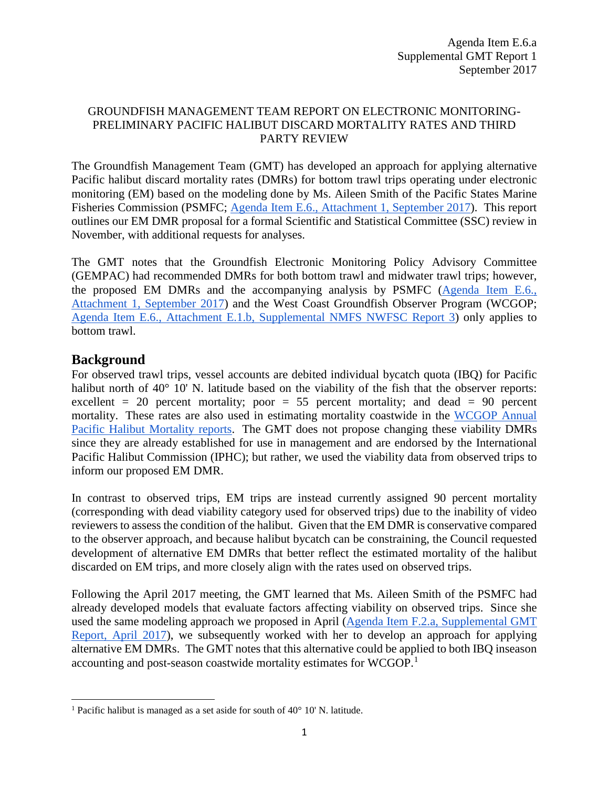### GROUNDFISH MANAGEMENT TEAM REPORT ON ELECTRONIC MONITORING-PRELIMINARY PACIFIC HALIBUT DISCARD MORTALITY RATES AND THIRD PARTY REVIEW

The Groundfish Management Team (GMT) has developed an approach for applying alternative Pacific halibut discard mortality rates (DMRs) for bottom trawl trips operating under electronic monitoring (EM) based on the modeling done by Ms. Aileen Smith of the Pacific States Marine Fisheries Commission (PSMFC; [Agenda Item E.6., Attachment 1, September 2017\)](http://www.pcouncil.org/wp-content/uploads/2017/08/E6_Att1_PSMFC_Halibut_Viability_Rpt_SEPT2017BB.pdf). This report outlines our EM DMR proposal for a formal Scientific and Statistical Committee (SSC) review in November, with additional requests for analyses.

The GMT notes that the Groundfish Electronic Monitoring Policy Advisory Committee (GEMPAC) had recommended DMRs for both bottom trawl and midwater trawl trips; however, the proposed EM DMRs and the accompanying analysis by PSMFC [\(Agenda Item E.6.,](http://www.pcouncil.org/wp-content/uploads/2017/08/E6_Att1_PSMFC_Halibut_Viability_Rpt_SEPT2017BB.pdf)  [Attachment 1, September 2017\)](http://www.pcouncil.org/wp-content/uploads/2017/08/E6_Att1_PSMFC_Halibut_Viability_Rpt_SEPT2017BB.pdf) and the West Coast Groundfish Observer Program (WCGOP; [Agenda Item E.6., Attachment E.1.b, Supplemental NMFS NWFSC Report 3\)](http://www.pcouncil.org/wp-content/uploads/2017/08/E1b_NMFS_NWFSC_Rpt_3_E-Only_Pacific_halibut_Bycatch_Rpt_2002_2016_SEPT2017BB.pdf) only applies to bottom trawl.

# **Background**

l

For observed trawl trips, vessel accounts are debited individual bycatch quota (IBQ) for Pacific halibut north of 40° 10' N. latitude based on the viability of the fish that the observer reports: excellent = 20 percent mortality; poor = 55 percent mortality; and dead = 90 percent mortality. These rates are also used in estimating mortality coastwide in the [WCGOP Annual](https://www.nwfsc.noaa.gov/research/divisions/fram/observation/data_products/species_management.cfm)  [Pacific Halibut Mortality reports.](https://www.nwfsc.noaa.gov/research/divisions/fram/observation/data_products/species_management.cfm) The GMT does not propose changing these viability DMRs since they are already established for use in management and are endorsed by the International Pacific Halibut Commission (IPHC); but rather, we used the viability data from observed trips to inform our proposed EM DMR.

In contrast to observed trips, EM trips are instead currently assigned 90 percent mortality (corresponding with dead viability category used for observed trips) due to the inability of video reviewers to assess the condition of the halibut. Given that the EM DMR is conservative compared to the observer approach, and because halibut bycatch can be constraining, the Council requested development of alternative EM DMRs that better reflect the estimated mortality of the halibut discarded on EM trips, and more closely align with the rates used on observed trips.

Following the April 2017 meeting, the GMT learned that Ms. Aileen Smith of the PSMFC had already developed models that evaluate factors affecting viability on observed trips. Since she used the same modeling approach we proposed in April [\(Agenda Item F.2.a, Supplemental GMT](http://www.pcouncil.org/wp-content/uploads/2017/04/F2a_Sup_GMT_Rpt_Apr2017BB.pdf)  [Report, April 2017\)](http://www.pcouncil.org/wp-content/uploads/2017/04/F2a_Sup_GMT_Rpt_Apr2017BB.pdf), we subsequently worked with her to develop an approach for applying alternative EM DMRs. The GMT notes that this alternative could be applied to both IBQ inseason accounting and post-season coastwide mortality estimates for WCGOP.[1](#page-0-0)

<span id="page-0-0"></span> $^1$  Pacific halibut is managed as a set aside for south of 40 $^{\circ}$  10' N. latitude.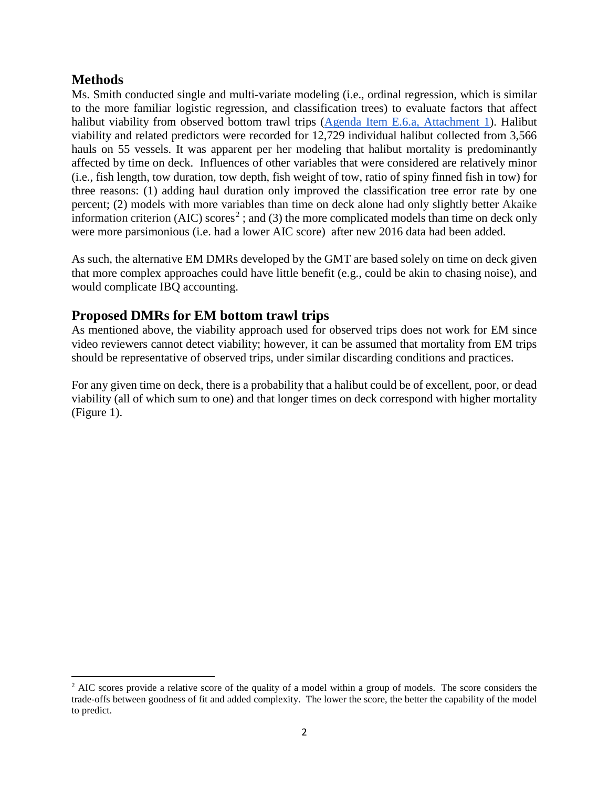## **Methods**

 $\overline{\phantom{a}}$ 

Ms. Smith conducted single and multi-variate modeling (i.e., ordinal regression, which is similar to the more familiar logistic regression, and classification trees) to evaluate factors that affect halibut viability from observed bottom trawl trips [\(Agenda Item E.6.a, Attachment 1\)](http://www.pcouncil.org/wp-content/uploads/2017/08/E6_Att1_PSMFC_Halibut_Viability_Rpt_SEPT2017BB.pdf). Halibut viability and related predictors were recorded for 12,729 individual halibut collected from 3,566 hauls on 55 vessels. It was apparent per her modeling that halibut mortality is predominantly affected by time on deck. Influences of other variables that were considered are relatively minor (i.e., fish length, tow duration, tow depth, fish weight of tow, ratio of spiny finned fish in tow) for three reasons: (1) adding haul duration only improved the classification tree error rate by one percent; (2) models with more variables than time on deck alone had only slightly better Akaike information criterion (AIC) scores<sup>[2](#page-1-0)</sup>; and (3) the more complicated models than time on deck only were more parsimonious (i.e. had a lower AIC score) after new 2016 data had been added.

As such, the alternative EM DMRs developed by the GMT are based solely on time on deck given that more complex approaches could have little benefit (e.g., could be akin to chasing noise), and would complicate IBQ accounting.

# **Proposed DMRs for EM bottom trawl trips**

As mentioned above, the viability approach used for observed trips does not work for EM since video reviewers cannot detect viability; however, it can be assumed that mortality from EM trips should be representative of observed trips, under similar discarding conditions and practices.

For any given time on deck, there is a probability that a halibut could be of excellent, poor, or dead viability (all of which sum to one) and that longer times on deck correspond with higher mortality (Figure 1).

<span id="page-1-0"></span> $<sup>2</sup>$  AIC scores provide a relative score of the quality of a model within a group of models. The score considers the</sup> trade-offs between goodness of fit and added complexity. The lower the score, the better the capability of the model to predict.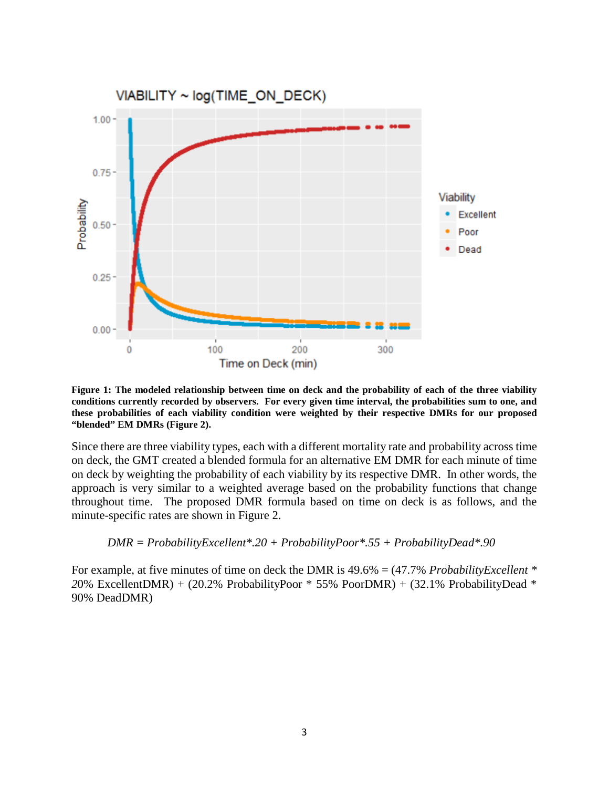

**Figure 1: The modeled relationship between time on deck and the probability of each of the three viability conditions currently recorded by observers. For every given time interval, the probabilities sum to one, and these probabilities of each viability condition were weighted by their respective DMRs for our proposed "blended" EM DMRs (Figure 2).**

Since there are three viability types, each with a different mortality rate and probability across time on deck, the GMT created a blended formula for an alternative EM DMR for each minute of time on deck by weighting the probability of each viability by its respective DMR. In other words, the approach is very similar to a weighted average based on the probability functions that change throughout time. The proposed DMR formula based on time on deck is as follows, and the minute-specific rates are shown in Figure 2.

$$
DMR = Probability\\ុ Excellent*.20 + Probability\\ Poor*.55 + Probability\\Dead*.90
$$

For example, at five minutes of time on deck the DMR is 49.6% = (47.7% *ProbabilityExcellent \* 2*0% ExcellentDMR) + (20.2% ProbabilityPoor \* 55% PoorDMR) + (32.1% ProbabilityDead \* 90% DeadDMR)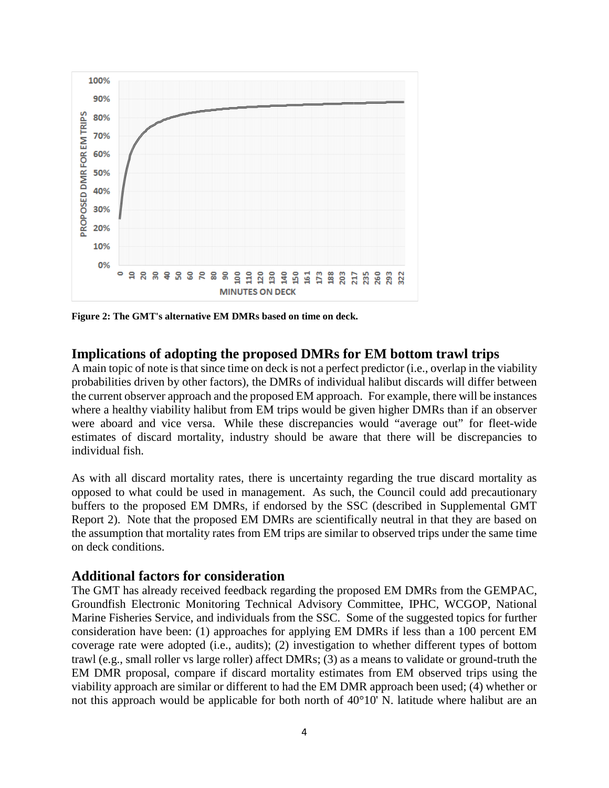

**Figure 2: The GMT's alternative EM DMRs based on time on deck.**

### **Implications of adopting the proposed DMRs for EM bottom trawl trips**

A main topic of note is that since time on deck is not a perfect predictor (i.e., overlap in the viability probabilities driven by other factors), the DMRs of individual halibut discards will differ between the current observer approach and the proposed EM approach. For example, there will be instances where a healthy viability halibut from EM trips would be given higher DMRs than if an observer were aboard and vice versa. While these discrepancies would "average out" for fleet-wide estimates of discard mortality, industry should be aware that there will be discrepancies to individual fish.

As with all discard mortality rates, there is uncertainty regarding the true discard mortality as opposed to what could be used in management. As such, the Council could add precautionary buffers to the proposed EM DMRs, if endorsed by the SSC (described in Supplemental GMT Report 2). Note that the proposed EM DMRs are scientifically neutral in that they are based on the assumption that mortality rates from EM trips are similar to observed trips under the same time on deck conditions.

#### **Additional factors for consideration**

The GMT has already received feedback regarding the proposed EM DMRs from the GEMPAC, Groundfish Electronic Monitoring Technical Advisory Committee, IPHC, WCGOP, National Marine Fisheries Service, and individuals from the SSC. Some of the suggested topics for further consideration have been: (1) approaches for applying EM DMRs if less than a 100 percent EM coverage rate were adopted (i.e., audits); (2) investigation to whether different types of bottom trawl (e.g., small roller vs large roller) affect DMRs; (3) as a means to validate or ground-truth the EM DMR proposal, compare if discard mortality estimates from EM observed trips using the viability approach are similar or different to had the EM DMR approach been used; (4) whether or not this approach would be applicable for both north of 40°10' N. latitude where halibut are an